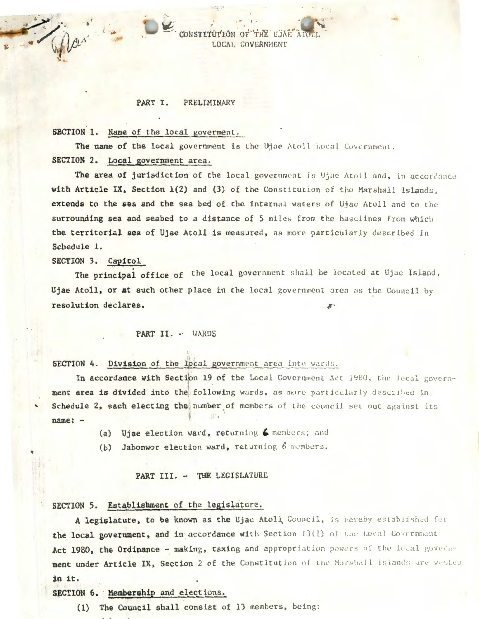#### PART I. PRELIMINARY

## SECTION 1. Name of the local governent.

The name of the local government is the Ujae Atoll Local Covernment. SECTION 2. Local government area.

CONSTITUTION OF

The area of jurisdiction of the local government is Ujae Atoll and, in accordance with Article IX, Section 1(2) and (3) of the Constitution of the Marshall Islands. extends to the sea and the sea bed of the internal waters of Ujae Atoll and to the surrounding sea and seabed to a distance of 5 miles from the baselines from which the territorial sea of Ujae Atoll is measured, as more particularly described in Schedule 1.

THE UJAE A

LOCAL COVERNMENT

# SECTION 3. Capitol

The principal office of the local government shall be located at Ujae Island, Ujae Atoll, or at such other place in the local government area as the Council by resolution declares.

#### PART II. - WARDS

# SECTION 4. Division of the local government area into wards.

In accordance with Section 19 of the Local Government Act 1980, the local government area is divided into the following wards, as more particularly described in Schedule 2, each electing the number of members of the council set out against its name: -

- (a) Ujae election ward, returning 6 members; and
- (b) Jabonwor election ward, returning 6 members.

### PART III. - THE LEGISLATURE

### SECTION 5. Establishment of the legislature.

A legislature, to be known as the Ujae Atoll Council, is hereby established for the local government, and in accordance with Section 13(1) of the Local Government Act 1980, the Ordinance - making, taxing and appropriation powers of the lecal government under Article IX, Section 2 of the Constitution of the Marshall Islands are vested in it.

SECTION 6. Membership and elections.

(1) The Council shall consist of 13 members, being: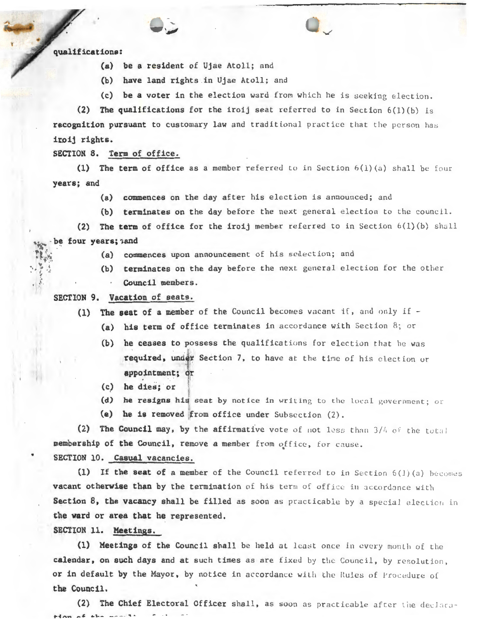qualifications:

- (a) be a resident of Ujae Atoll; and
- (b) have land rights in Ujae Atoll; and
- (c) be a voter in the election ward from which he is seeking election.

(2) The qualifications for the iroij seat referred to in Section  $6(1)(b)$  is recognition pursuant to customary law and traditional practice that the person has iroij rights.

SECTION 8. Term of office.

(1) The term of office as a member referred to in Section  $6(1)(a)$  shall be four years; and

- (a) commences on the day after his election is announced; and
- (b) terminates on the day before the next general election to the council.

(2) The term of office for the iroij member referred to in Section  $6(1)(b)$  shall be four years; and

- (a) commences upon announcement of his selection; and
- (b) terminates on the day before the next general election for the other Council members .

SECTION 9. Vacation of seats.

- (1) The seat of a member of the Council becomes vacant if, and only if  $-$ 
	- (a) his term of office terminates in accordance with Section 8; or
		- (b) he ceases to possess the qualifications for election that he was required, under Section 7, to have at the time of his election or appointment; dr
		- (c) he dies; or
	- (d) he resigns his seat by notice in writing to the local government; or
	- (e) he is removed  ${from of}$  office under Subsection  $(2)$ .

(2) The Council may, by the affirmative vote of not less than  $3/4$  of the total membership of the Council, remove a member from office, for cause.

SECTION 10. Casual vacancies.

(1) If the seat of a member of the Council referred to in Section  $6(1)(a)$  becomes vacant otherwise than by the termination of his term of office in accordance with Section 8, the vacancy shall be filled as soon as practicable by a special election in the ward or area that he represented.

SECTION 11. Meetings.

•

(1) Meetings of the Council shall be held at least once in every month of the calendar, on such days and at such times as are fixed by the Council, by resolution. or in default by the Mayor, by notice in accordance with the Rules of Procedure of the Council.

(2) The Chief Electoral Officer shall, as soon as practicable after the declara- $H$ an af the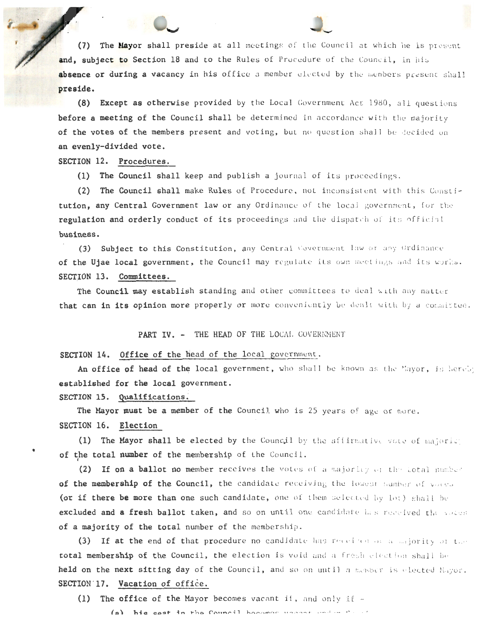The Mayor shall preside at all meetings of the Council at which he is present  $(7)$ and, subject to Section 18 and to the Rules of Procedure of the Council, in his absence or during a vacancy in his office a member elected by the members present shall preside.

(8) Except as otherwise provided by the Local Government Act 1980, all questions before a meeting of the Council shall be determined in accordance with the majority of the votes of the members present and voting, but no question shall be decided on an evenly-divided vote.

SECTION 12. Procedures.

(1) The Council shall keep and publish a journal of its proceedings.

(2) The Council shall make Rules of Procedure, not inconsistent with this Constitution, any Central Government law or any Ordinance of the local government, for the regulation and orderly conduct of its proceedings and the dispatch of its official business.

(3) Subject to this Constitution, any Central Covernment law or any Ordinance of the Ujae local government, the Council may regulate its own meetings and its words. SECTION 13. Committees.

The Council may establish standing and other committees to deal with any matter that can in its opinion more properly or more conveniently be dealt with by a committee.

PART IV. - THE HEAD OF THE LOCAL COVERNMENT

SECTION 14. Office of the head of the local government.

An office of head of the local government, who shall be known as the Mayor, is hereby established for the local government.

SECTION 15. Qualifications.

The Mayor must be a member of the Council who is 25 years of age or nore. SECTION 16. Election

(1) The Mayor shall be elected by the Council by the affirmative vote of majoric of the total number of the membership of the Council.

(2) If on a ballot no member receives the votes of a majority of the lotal number of the membership of the Council, the candidate receiving the lowest number of voces (or if there be more than one such candidate, one of them selected by lot) shall be excluded and a fresh ballot taken, and so on until one candidate has received the voces of a majority of the total number of the membership.

(3) If at the end of that procedure no candidate has received on a majority of the total membership of the Council, the election is void and a fresh election shall be held on the next sitting day of the Council, and so on until a member is elected Mayor. SECTION 17. Vacation of office.

(1) The office of the Mayor becomes vacant ii, and only if  $-$ 

(a) his seat in the Council becomes used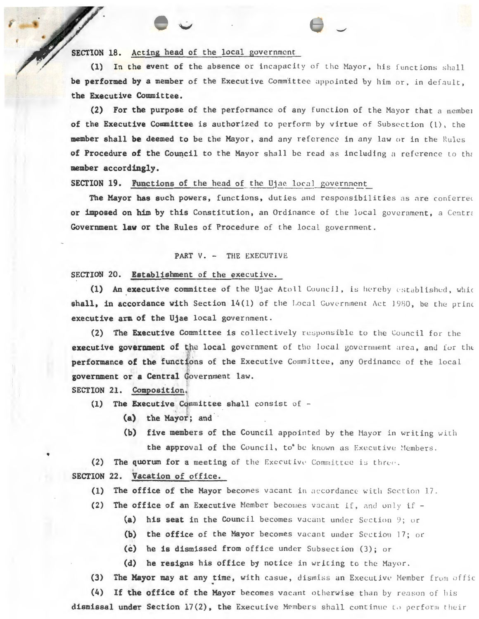## SECTION 18. Acting head of the local government

(1) In the event of the absence or incapacity of the Mayor, his functions shall be performed by a member of the Executive Committee appointed by him or, in default, the Executive Committee.

(2) For the purpose of the performance of any function of the Mayor that a member of the Executive Committee is authorized to perform by virtue of Subsection (1), the member shall be deemed to be the Mayor, and any reference in any law or in the Rules of Procedure of the Council to the Mayor shall be read as including a reference to the member accordingly.

**SECTION 19. Functions of the head of the Ujae local government** 

The Mayor has such powers, functions, duties and responsibilities as are conferred or imposed on him by this Constitution, an Ordinance of the local government, a Centra Government law or the Rules of Procedure of the local government.

### PART V. - THE EXECUTIVE

SECTION 20. Establishment of the executive.

(1) An executive committee of the Ujae Atoll Council, is hereby established, whic shall, in accordance with Section 14(1) of the Local Government Act 1980, be the princ executive arm of the Ujae local government.

(2) The Executive Committee is collectively responsible to the Council for the executive government of the local government of the local government area, and for the performance of the functions of the Executive Committee, any Ordinance of the local government or a Central Government law.

SECTION 21. Composition.

- (1) The Executive Committee shall consist of -
	- (a) the Mayor; and
	- (b) five members of the Council appointed by the Mayor in writing with the approval of the Council, to' be known as Executive Members.
- (2) The quorum for a meeting of the Executive Committee is three.

SECTION 22. Vacation of office.

- The office of the Mayor becomes vacant in accordance with Section 17.  $(1)$
- The office of an Executive Member becomes vacant if, and only if - $(2)$ 
	- (a) his seat in the Council becomes vacant under Section 9; or
	- (b) the office of the Mayor becomes vacant under Section 17; or
	- (c) he is dismissed from office under Subsection (3); or
	- (d) he resigns his office by notice in writing to the Mayor.
- (3) The Mayor may at any time, with casue, dismiss an Executive Member from offic

(4) If the office of the Mayor becomes vacant otherwise than by reason of his dismissal under Section 17(2), the Executive Members shall continue to perform their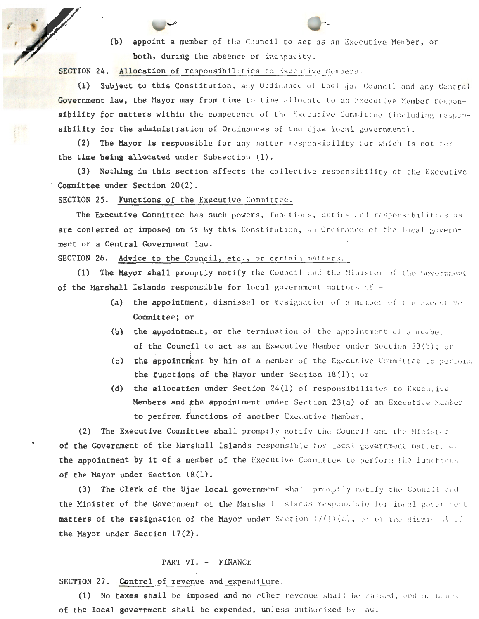(b) appoint a member of the Council to act as an Executive Member, or both, during the absence or incapacity.

SECTION 24. Allocation of responsibilities to Executive Members.

(1) Subject to this Constitution, any Ordinance of the | Haw Council and any Central Government law, the Mayor may from time to time allocate to an Executive Member responsibility for matters within the competence of the Executive Committee (including responsibility for the administration of Ordinances of the Ujae local government).

(2) The Mayor is responsible for any matter responsibility for which is not for the time being allocated under Subsection (1).

(3) Nothing in this section affects the collective responsibility of the Executive Committee under Section 20(2).

SECTION 25. Functions of the Executive Committee.

The Executive Committee has such powers, functions, duties and responsibilities as are conferred or imposed on it by this Constitution, an Ordinance of the local government or a Central Government law.

SECTION 26. Advice to the Council, etc., or certain matters.

(1) The Mayor shall promptly notify the Council and the Minister of the Government of the Marshall Islands responsible for local government matters of -

- (a) the appointment, dismissal or resignation of a member of the Executive Committee; or
- (b) the appointment, or the termination of the appointment of a member of the Council to act as an Executive Member under Section 23(b); or
- (c) the appointment by him of a member of the Executive Committee to perform the functions of the Mayor under Section  $18(1)$ ; or
- (d) the allocation under Section 24(1) of responsibilities to Executive Members and the appointment under Section 23(a) of an Executive Member to perfrom functions of another Executive Member.

(2) The Executive Committee shall promptly notify the Council and the Minister of the Government of the Marshall Islands responsible for local government matters of the appointment by it of a member of the Executive Committee to perform the functions of the Mayor under Section 18(1).

(3) The Clerk of the Ujae local government shall promptly notify the Council and the Minister of the Government of the Marshall Islands responsible for local government matters of the resignation of the Mayor under Section  $17(1)(c)$ , or of the dismissed of the Mayor under Section 17(2).

#### PART VI. - FINANCE

SECTION 27. Control of revenue and expenditure.

(1) No taxes shall be imposed and no other revenue shall be raised, and no menty of the local government shall be expended, unless authorized by law.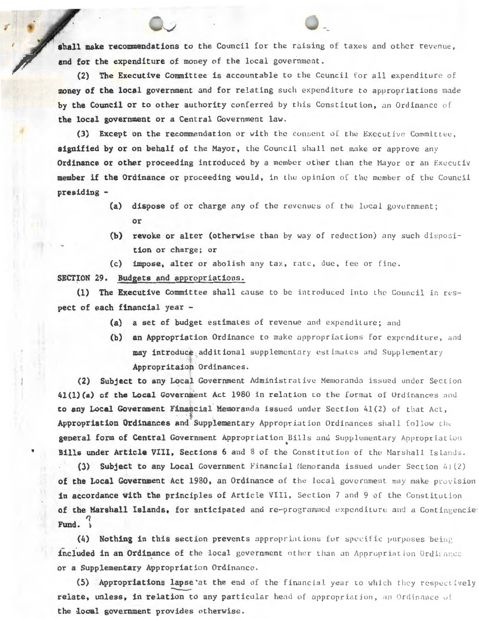shall make recommendations to the Council for the raising of taxes and other revenue, and for the expenditure of money of the local government.

(2) The Executive Committee is accountable to the Council for all expenditure of money of the local government and for relating such expenditure to appropriations made by the Council or to other authority conferred by this Constitution, an Ordinance of the local government or a Central Government law.

(3) Except on the recommendation or with the consent of the Executive Committee, signified by or on behalf of the Mayor, the Council shall not make or approve any Ordinance or other proceeding introduced by a member other than the Mayor or an Executiv member if the Ordinance or proceeding would, in the opinion of the member of the Council presiding -

- (a) dispose of or charge any of the revenues of the local government; or
- (b) revoke or alter (otherwise than by way of reduction) any such disposition or charge; or
- (c) impose, alter or abolish any tax, rate, due, fee or fine.

SECTION 29. Budgets and appropriations.

(1) The Executive Committee shall cause to be introduced into the Council in respect of each financial year -

- (a) a set of budget estimates of revenue and expenditure; and
- (b) an Appropriation Ordinance to make appropriations for expenditure, and may introduce additional supplementary estimates and Supplementary Appropritaion Ordinances.

(2) Subject to any Local Government Administrative Memoranda issued under Section 41(1)(a) of the Local Government Act 1980 in relation to the format of Ordinances and to any Local Government Financial Memoranda issued under Section 41(2) of that Act, Appropriation Ordinances and Supplementary Appropriation Ordinances shall follow the general form of Central Government Appropriation Bills and Supplementary Appropriation Bills under Article VIII, Sections 6 and 8 of the Constitution of the Marshall Islands.

(3) Subject to any Local Government Financial Memoranda issued under Section 41(2) of the Local Government Act 1980, an Ordinance of the local government may make provision in accordance with the principles of Article VIII, Section 7 and 9 of the Constitution of the Marshall Islands, for anticipated and re-programmed expenditure and a Contingencies Fund.

(4) Nothing in this section prevents appropriations for specific purposes being included in an Ordinance of the local government other than an Appropriation Ordinance or a Supplementary Appropriation Ordinance.

(5) Appropriations lapse at the end of the financial year to which they respectively relate, unless, in relation to any particular head of appropriation, an Ordinance of the local government provides otherwise.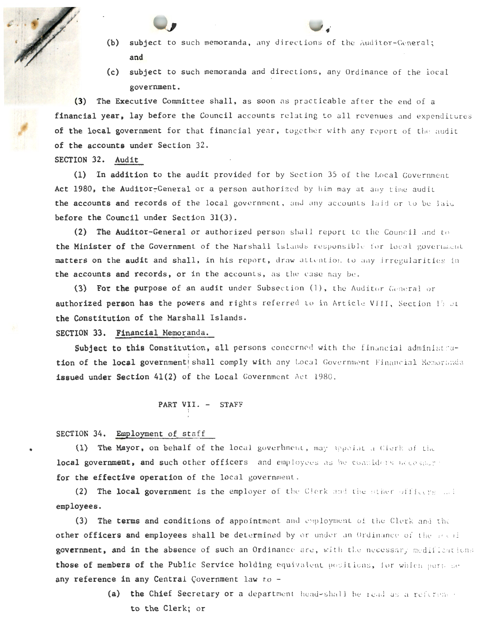- (b) subject to such memoranda, any directions of the Auditor-General; and
- (c) subject to such memoranda and directions, any Ordinance of the local government.

(3) The Executive Committee shall, as soon as practicable after the end of a financial year, lay before the Council accounts relating to all revenues and expenditures of the local government for that financial year, together with any report of the audit of the accounts under Section 32.

# SECTION 32. Audit

(1) In addition to the audit provided for by Section 35 of the Local Government Act 1980, the Auditor-General or a person authorized by him may at any time audit the accounts and records of the local government, and any accounts laid or to be laid before the Council under Section 31(3).

(2) The Auditor-General or authorized person shall report to the Council and to the Minister of the Government of the Marshall Islands responsible for local government matters on the audit and shall, in his report, draw attention to any irregularities in the accounts and records, or in the accounts, as the case may be.

(3) For the purpose of an audit under Subsection (1), the Auditor General or authorized person has the powers and rights referred to in Article VIII, Section 15 of the Constitution of the Marshall Islands .

SECTION 33. Financial Memoranda.

Subject to this Constitution, all persons concerned with the financial administration of the local government shall comply with any Local Government Financial Memoranda issued under Section 41(2) of the Local Government Act 1980.

#### PART VII. - STAFF I

I

SECTION 34. Employment of staff

•

(1) The Mayor, on behalf of the local goverhment, may appoint a Clerk of the local government, and such other officers and employees as he considers nacesuar for the effective operation of the local government.

(2) The local government is the employer of the Clerk and the other officers ...! employees.

(3) The terms and conditions of appointment and employment of the Clerk and the other officers and employees shall be determined by or under an Ordinance of the next government, and in the absence of such an Ordinance are, with the necessar; medifications those of members of the Public Service holding equivalent positions, for which purp se any reference in any Central Covernment law to -

> (a) the Chief Secretary or a department head-shall be read as a reference to the Clerk; or